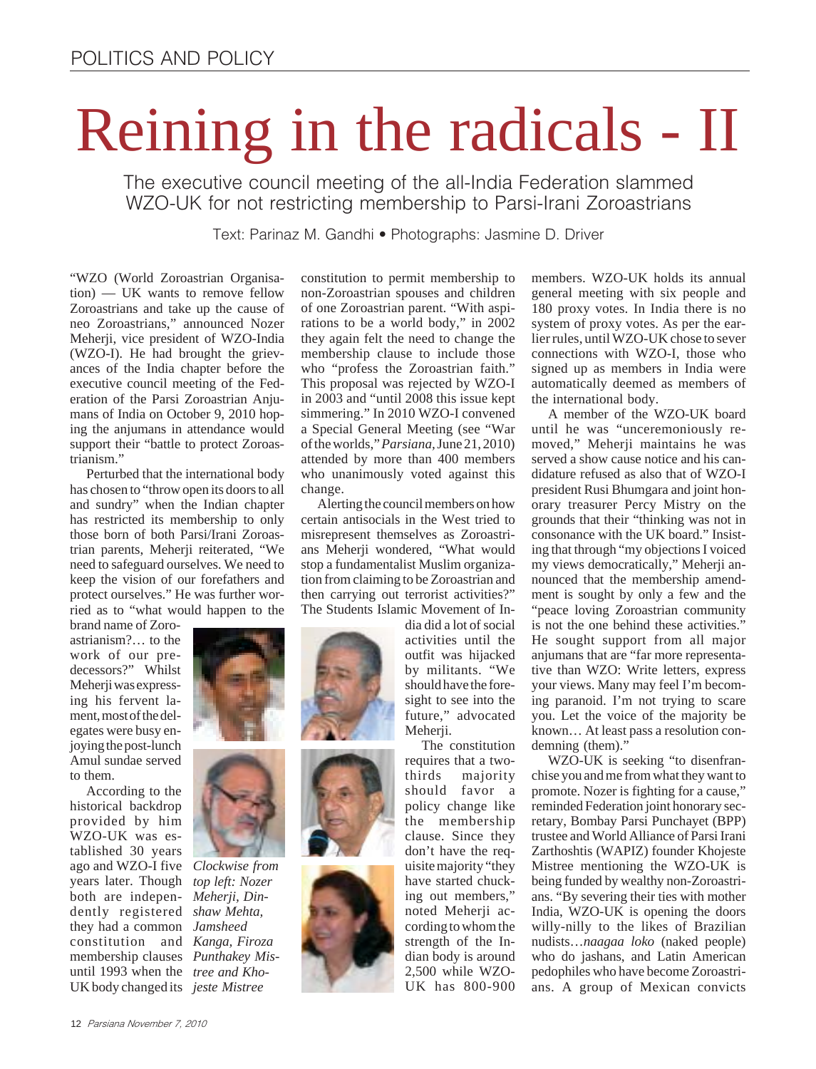# Reining in the radicals - II

The executive council meeting of the all-India Federation slammed WZO-UK for not restricting membership to Parsi-Irani Zoroastrians

Text: Parinaz M. Gandhi • Photographs: Jasmine D. Driver

"WZO (World Zoroastrian Organisation) — UK wants to remove fellow Zoroastrians and take up the cause of neo Zoroastrians," announced Nozer Meherji, vice president of WZO-India (WZO-I). He had brought the grievances of the India chapter before the executive council meeting of the Federation of the Parsi Zoroastrian Anjumans of India on October 9, 2010 hoping the anjumans in attendance would support their "battle to protect Zoroastrianism."

Perturbed that the international body has chosen to "throw open its doors to all and sundry" when the Indian chapter has restricted its membership to only those born of both Parsi/Irani Zoroastrian parents, Meherji reiterated, "We need to safeguard ourselves. We need to keep the vision of our forefathers and protect ourselves." He was further worried as to "what would happen to the

brand name of Zoroastrianism?… to the work of our predecessors?" Whilst Meherji was expressing his fervent lament, most of the delegates were busy enjoying the post-lunch Amul sundae served to them.

According to the historical backdrop provided by him WZO-UK was established 30 years ago and WZO-I five *Clockwise from* years later. Though *top left: Nozer* both are indepen-*Meherji, Din*dently registered *shaw Mehta,* they had a common *Jamsheed* constitution and *Kanga, Firoza* membership clauses *Punthakey Mis*until 1993 when the *tree and Kho-*UK body changed its *jeste Mistree*



constitution to permit membership to non-Zoroastrian spouses and children of one Zoroastrian parent. "With aspirations to be a world body," in 2002 they again felt the need to change the membership clause to include those who "profess the Zoroastrian faith." This proposal was rejected by WZO-I in 2003 and "until 2008 this issue kept simmering." In 2010 WZO-I convened a Special General Meeting (see "War of the worlds," *Parsiana,* June 21, 2010) attended by more than 400 members who unanimously voted against this change.

Alerting the council members on how certain antisocials in the West tried to misrepresent themselves as Zoroastrians Meherji wondered, "What would stop a fundamentalist Muslim organization from claiming to be Zoroastrian and then carrying out terrorist activities?" The Students Islamic Movement of In-



dia did a lot of social activities until the outfit was hijacked by militants. "We should have the foresight to see into the future," advocated Meherii.

The constitution requires that a twothirds majority should favor a policy change like the membership clause. Since they don't have the requisite majority "they have started chucking out members," noted Meherji according to whom the strength of the Indian body is around 2,500 while WZO-UK has 800-900

members. WZO-UK holds its annual general meeting with six people and 180 proxy votes. In India there is no system of proxy votes. As per the earlier rules, until WZO-UK chose to sever connections with WZO-I, those who signed up as members in India were automatically deemed as members of the international body.

A member of the WZO-UK board until he was "unceremoniously removed," Meherji maintains he was served a show cause notice and his candidature refused as also that of WZO-I president Rusi Bhumgara and joint honorary treasurer Percy Mistry on the grounds that their "thinking was not in consonance with the UK board." Insisting that through "my objections I voiced my views democratically," Meherji announced that the membership amendment is sought by only a few and the "peace loving Zoroastrian community is not the one behind these activities." He sought support from all major anjumans that are "far more representative than WZO: Write letters, express your views. Many may feel I'm becoming paranoid. I'm not trying to scare you. Let the voice of the majority be known… At least pass a resolution condemning (them)."

WZO-UK is seeking "to disenfranchise you and me from what they want to promote. Nozer is fighting for a cause," reminded Federation joint honorary secretary, Bombay Parsi Punchayet (BPP) trustee and World Alliance of Parsi Irani Zarthoshtis (WAPIZ) founder Khojeste Mistree mentioning the WZO-UK is being funded by wealthy non-Zoroastrians. "By severing their ties with mother India, WZO-UK is opening the doors willy-nilly to the likes of Brazilian nudists…*naagaa loko* (naked people) who do jashans, and Latin American pedophiles who have become Zoroastrians. A group of Mexican convicts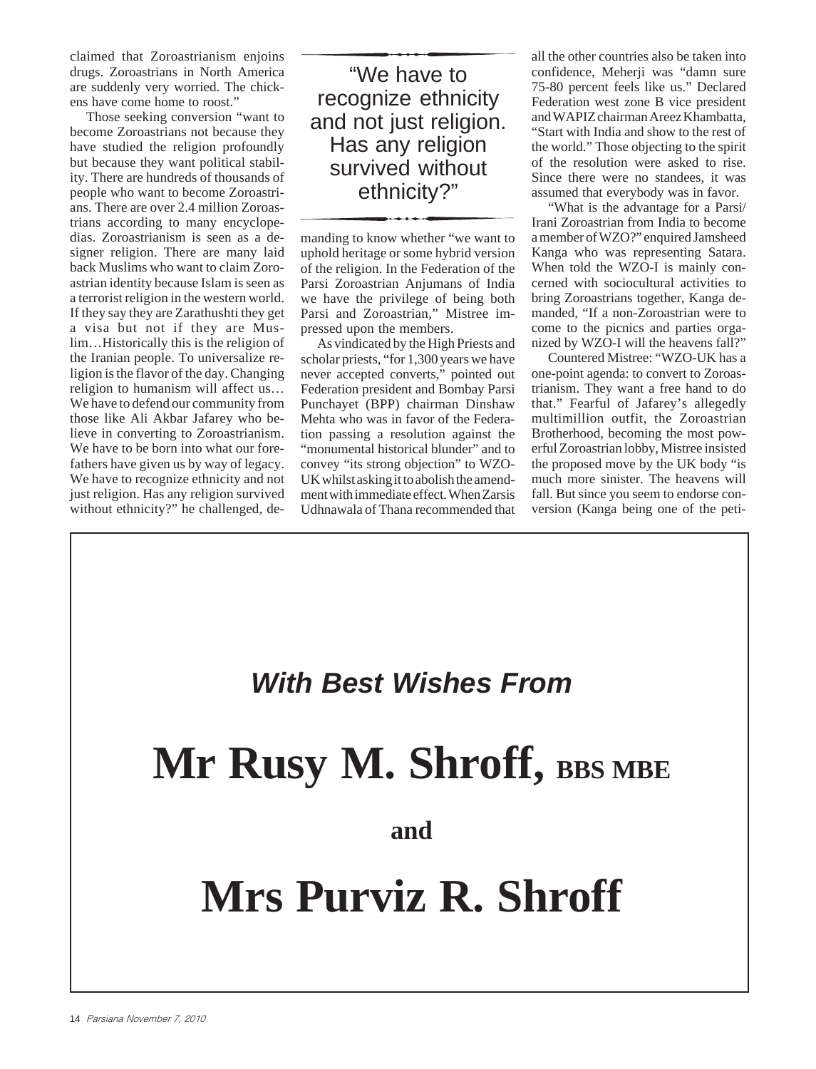claimed that Zoroastrianism enjoins drugs. Zoroastrians in North America are suddenly very worried. The chickens have come home to roost."

Those seeking conversion "want to become Zoroastrians not because they have studied the religion profoundly but because they want political stability. There are hundreds of thousands of people who want to become Zoroastrians. There are over 2.4 million Zoroastrians according to many encyclopedias. Zoroastrianism is seen as a designer religion. There are many laid back Muslims who want to claim Zoroastrian identity because Islam is seen as a terrorist religion in the western world. If they say they are Zarathushti they get a visa but not if they are Muslim…Historically this is the religion of the Iranian people. To universalize religion is the flavor of the day. Changing religion to humanism will affect us… We have to defend our community from those like Ali Akbar Jafarey who believe in converting to Zoroastrianism. We have to be born into what our forefathers have given us by way of legacy. We have to recognize ethnicity and not just religion. Has any religion survived without ethnicity?" he challenged, de-

"We have to recognize ethnicity and not just religion. Has any religion survived without ethnicity?"

manding to know whether "we want to uphold heritage or some hybrid version of the religion. In the Federation of the Parsi Zoroastrian Anjumans of India we have the privilege of being both Parsi and Zoroastrian," Mistree impressed upon the members.

As vindicated by the High Priests and scholar priests, "for 1,300 years we have never accepted converts," pointed out Federation president and Bombay Parsi Punchayet (BPP) chairman Dinshaw Mehta who was in favor of the Federation passing a resolution against the "monumental historical blunder" and to convey "its strong objection" to WZO-UK whilst asking it to abolish the amendment with immediate effect. When Zarsis Udhnawala of Thana recommended that

all the other countries also be taken into confidence, Meherji was "damn sure 75-80 percent feels like us." Declared Federation west zone B vice president and WAPIZ chairman Areez Khambatta, "Start with India and show to the rest of the world." Those objecting to the spirit of the resolution were asked to rise. Since there were no standees, it was assumed that everybody was in favor.

"What is the advantage for a Parsi/ Irani Zoroastrian from India to become a member of WZO?" enquired Jamsheed Kanga who was representing Satara. When told the WZO-I is mainly concerned with sociocultural activities to bring Zoroastrians together, Kanga demanded, "If a non-Zoroastrian were to come to the picnics and parties organized by WZO-I will the heavens fall?"

Countered Mistree: "WZO-UK has a one-point agenda: to convert to Zoroastrianism. They want a free hand to do that." Fearful of Jafarey's allegedly multimillion outfit, the Zoroastrian Brotherhood, becoming the most powerful Zoroastrian lobby, Mistree insisted the proposed move by the UK body "is much more sinister. The heavens will fall. But since you seem to endorse conversion (Kanga being one of the peti-

#### *With Best Wishes From*

## **Mr Rusy M. Shroff, BBS MBE**

#### **and**

### **Mrs Purviz R. Shroff**